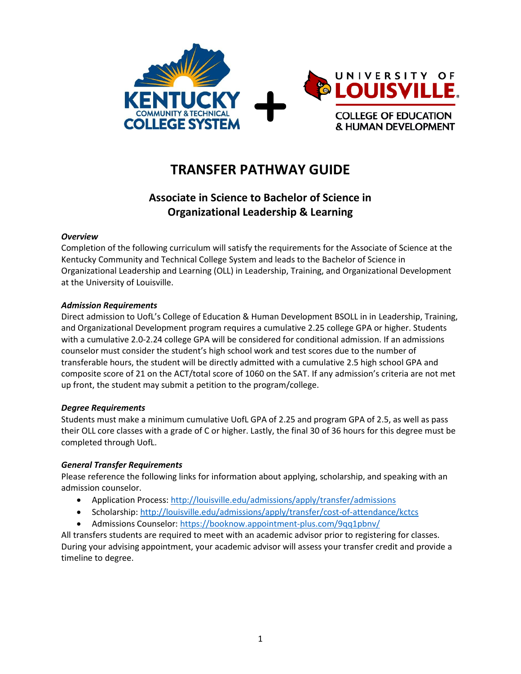

# **TRANSFER PATHWAY GUIDE**

# **Associate in Science to Bachelor of Science in Organizational Leadership & Learning**

#### *Overview*

Completion of the following curriculum will satisfy the requirements for the Associate of Science at the Kentucky Community and Technical College System and leads to the Bachelor of Science in Organizational Leadership and Learning (OLL) in Leadership, Training, and Organizational Development at the University of Louisville.

#### *Admission Requirements*

Direct admission to UofL's College of Education & Human Development BSOLL in in Leadership, Training, and Organizational Development program requires a cumulative 2.25 college GPA or higher. Students with a cumulative 2.0-2.24 college GPA will be considered for conditional admission. If an admissions counselor must consider the student's high school work and test scores due to the number of transferable hours, the student will be directly admitted with a cumulative 2.5 high school GPA and composite score of 21 on the ACT/total score of 1060 on the SAT. If any admission's criteria are not met up front, the student may submit a petition to the program/college.

#### *Degree Requirements*

Students must make a minimum cumulative UofL GPA of 2.25 and program GPA of 2.5, as well as pass their OLL core classes with a grade of C or higher. Lastly, the final 30 of 36 hours for this degree must be completed through UofL.

#### *General Transfer Requirements*

Please reference the following links for information about applying, scholarship, and speaking with an admission counselor.

- Application Process[: http://louisville.edu/admissions/apply/transfer/admissions](http://louisville.edu/admissions/apply/transfer/admissions)
- Scholarship[: http://louisville.edu/admissions/apply/transfer/cost-of-attendance/kctcs](http://louisville.edu/admissions/apply/transfer/cost-of-attendance/kctcs)
- Admissions Counselor[: https://booknow.appointment-plus.com/9qq1pbnv/](https://booknow.appointment-plus.com/9qq1pbnv/)

All transfers students are required to meet with an academic advisor prior to registering for classes. During your advising appointment, your academic advisor will assess your transfer credit and provide a timeline to degree.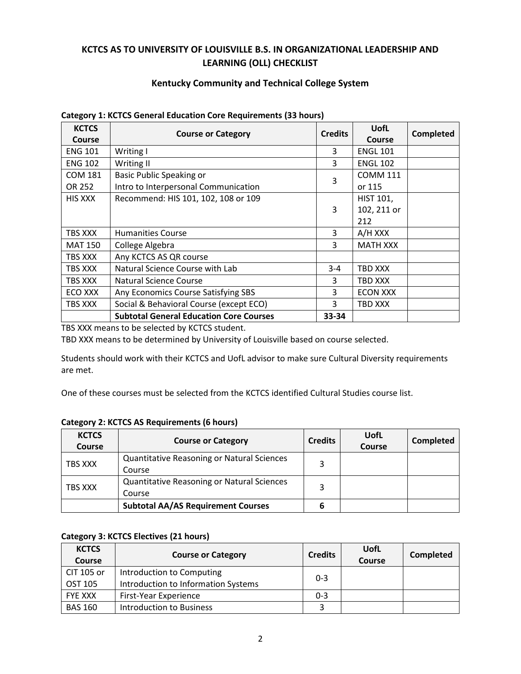## **KCTCS AS TO UNIVERSITY OF LOUISVILLE B.S. IN ORGANIZATIONAL LEADERSHIP AND LEARNING (OLL) CHECKLIST**

#### **Kentucky Community and Technical College System**

| <b>KCTCS</b>   |                                                | <b>Credits</b> | UofL             | <b>Completed</b> |
|----------------|------------------------------------------------|----------------|------------------|------------------|
| <b>Course</b>  | <b>Course or Category</b>                      |                | <b>Course</b>    |                  |
| <b>ENG 101</b> | Writing I                                      | 3              | <b>ENGL 101</b>  |                  |
| <b>ENG 102</b> | Writing II                                     | 3              | <b>ENGL 102</b>  |                  |
| <b>COM 181</b> | <b>Basic Public Speaking or</b>                | 3              | <b>COMM 111</b>  |                  |
| OR 252         | Intro to Interpersonal Communication           |                | or 115           |                  |
| <b>HIS XXX</b> | Recommend: HIS 101, 102, 108 or 109            |                | <b>HIST 101,</b> |                  |
|                |                                                | 3              | 102, 211 or      |                  |
|                |                                                |                | 212              |                  |
| TBS XXX        | <b>Humanities Course</b>                       | 3              | A/H XXX          |                  |
| <b>MAT 150</b> | College Algebra                                | 3              | <b>MATH XXX</b>  |                  |
| TBS XXX        | Any KCTCS AS QR course                         |                |                  |                  |
| TBS XXX        | Natural Science Course with Lab                | $3 - 4$        | TBD XXX          |                  |
| TBS XXX        | Natural Science Course                         | 3              | TBD XXX          |                  |
| ECO XXX        | Any Economics Course Satisfying SBS            | 3              | <b>ECON XXX</b>  |                  |
| TBS XXX        | Social & Behavioral Course (except ECO)        | 3              | TBD XXX          |                  |
|                | <b>Subtotal General Education Core Courses</b> | 33-34          |                  |                  |

#### **Category 1: KCTCS General Education Core Requirements (33 hours)**

TBS XXX means to be selected by KCTCS student.

TBD XXX means to be determined by University of Louisville based on course selected.

Students should work with their KCTCS and UofL advisor to make sure Cultural Diversity requirements are met.

One of these courses must be selected from the KCTCS identified Cultural Studies course list.

#### **Category 2: KCTCS AS Requirements (6 hours)**

| <b>KCTCS</b><br>Course | <b>Course or Category</b>                         | <b>Credits</b> | UofL<br>Course | Completed |
|------------------------|---------------------------------------------------|----------------|----------------|-----------|
| TBS XXX                | <b>Quantitative Reasoning or Natural Sciences</b> |                |                |           |
|                        | Course                                            |                |                |           |
| TBS XXX                | <b>Quantitative Reasoning or Natural Sciences</b> | 3              |                |           |
|                        | Course                                            |                |                |           |
|                        | <b>Subtotal AA/AS Requirement Courses</b>         |                |                |           |

#### **Category 3: KCTCS Electives (21 hours)**

| <b>KCTCS</b><br><b>Course</b> | <b>Course or Category</b>           | <b>Credits</b> | <b>UofL</b><br>Course | Completed |
|-------------------------------|-------------------------------------|----------------|-----------------------|-----------|
| CIT 105 or                    | Introduction to Computing           | $0 - 3$        |                       |           |
| OST 105                       | Introduction to Information Systems |                |                       |           |
| <b>FYE XXX</b>                | First-Year Experience               | $0 - 3$        |                       |           |
| <b>BAS 160</b>                | Introduction to Business            |                |                       |           |